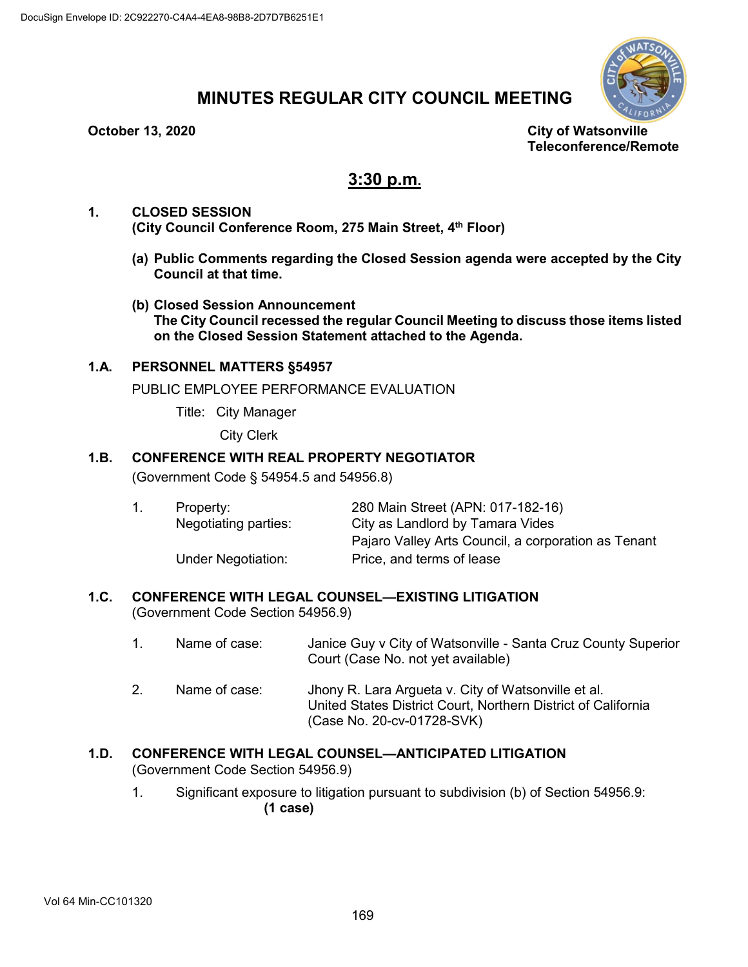

# **MINUTES REGULAR CITY COUNCIL MEETING**

**October 13, 2020 City of Watsonville Teleconference/Remote**

# **3:30 p.m.**

- **1. CLOSED SESSION (City Council Conference Room, 275 Main Street, 4th Floor)**
	- **(a) Public Comments regarding the Closed Session agenda were accepted by the City Council at that time.**
	- **(b) Closed Session Announcement The City Council recessed the regular Council Meeting to discuss those items listed on the Closed Session Statement attached to the Agenda.**

# **1.A. PERSONNEL MATTERS §54957**

PUBLIC EMPLOYEE PERFORMANCE EVALUATION

Title: City Manager

City Clerk

# **1.B. CONFERENCE WITH REAL PROPERTY NEGOTIATOR**

(Government Code § 54954.5 and 54956.8)

|  | Property:                 | 280 Main Street (APN: 017-182-16)                   |
|--|---------------------------|-----------------------------------------------------|
|  | Negotiating parties:      | City as Landlord by Tamara Vides                    |
|  |                           | Pajaro Valley Arts Council, a corporation as Tenant |
|  | <b>Under Negotiation:</b> | Price, and terms of lease                           |

# **1.C. CONFERENCE WITH LEGAL COUNSEL—EXISTING LITIGATION**

(Government Code Section 54956.9)

- 1. Name of case: Janice Guy v City of Watsonville Santa Cruz County Superior Court (Case No. not yet available)
- 2. Name of case: Jhony R. Lara Argueta v. City of Watsonville et al. United States District Court, Northern District of California (Case No. 20-cv-01728-SVK)

# **1.D. CONFERENCE WITH LEGAL COUNSEL—ANTICIPATED LITIGATION**

(Government Code Section 54956.9)

1. Significant exposure to litigation pursuant to subdivision (b) of Section 54956.9: **(1 case)**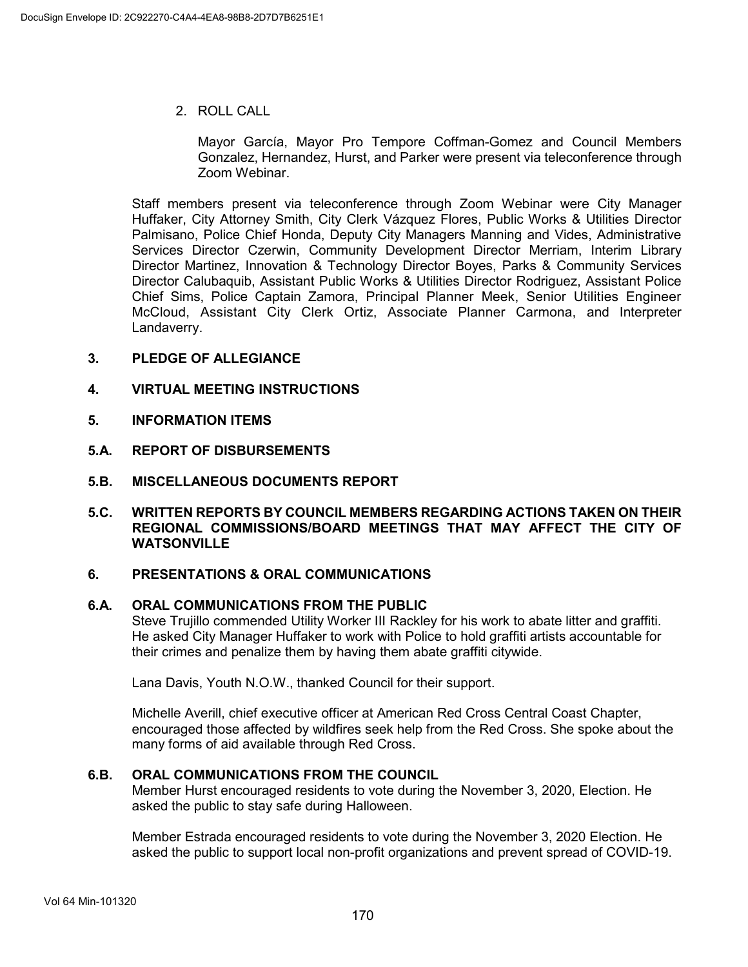2. ROLL CALL

Mayor García, Mayor Pro Tempore Coffman-Gomez and Council Members Gonzalez, Hernandez, Hurst, and Parker were present via teleconference through Zoom Webinar.

Staff members present via teleconference through Zoom Webinar were City Manager Huffaker, City Attorney Smith, City Clerk Vázquez Flores, Public Works & Utilities Director Palmisano, Police Chief Honda, Deputy City Managers Manning and Vides, Administrative Services Director Czerwin, Community Development Director Merriam, Interim Library Director Martinez, Innovation & Technology Director Boyes, Parks & Community Services Director Calubaquib, Assistant Public Works & Utilities Director Rodriguez, Assistant Police Chief Sims, Police Captain Zamora, Principal Planner Meek, Senior Utilities Engineer McCloud, Assistant City Clerk Ortiz, Associate Planner Carmona, and Interpreter Landaverry.

- **3. PLEDGE OF ALLEGIANCE**
- **4. VIRTUAL MEETING INSTRUCTIONS**
- **5. INFORMATION ITEMS**
- **5.A. REPORT OF DISBURSEMENTS**
- **5.B. MISCELLANEOUS DOCUMENTS REPORT**
- **5.C. WRITTEN REPORTS BY COUNCIL MEMBERS REGARDING ACTIONS TAKEN ON THEIR REGIONAL COMMISSIONS/BOARD MEETINGS THAT MAY AFFECT THE CITY OF WATSONVILLE**

#### **6. PRESENTATIONS & ORAL COMMUNICATIONS**

# **6.A. ORAL COMMUNICATIONS FROM THE PUBLIC**

Steve Trujillo commended Utility Worker III Rackley for his work to abate litter and graffiti. He asked City Manager Huffaker to work with Police to hold graffiti artists accountable for their crimes and penalize them by having them abate graffiti citywide.

Lana Davis, Youth N.O.W., thanked Council for their support.

Michelle Averill, chief executive officer at American Red Cross Central Coast Chapter, encouraged those affected by wildfires seek help from the Red Cross. She spoke about the many forms of aid available through Red Cross.

#### **6.B. ORAL COMMUNICATIONS FROM THE COUNCIL**

Member Hurst encouraged residents to vote during the November 3, 2020, Election. He asked the public to stay safe during Halloween.

Member Estrada encouraged residents to vote during the November 3, 2020 Election. He asked the public to support local non-profit organizations and prevent spread of COVID-19.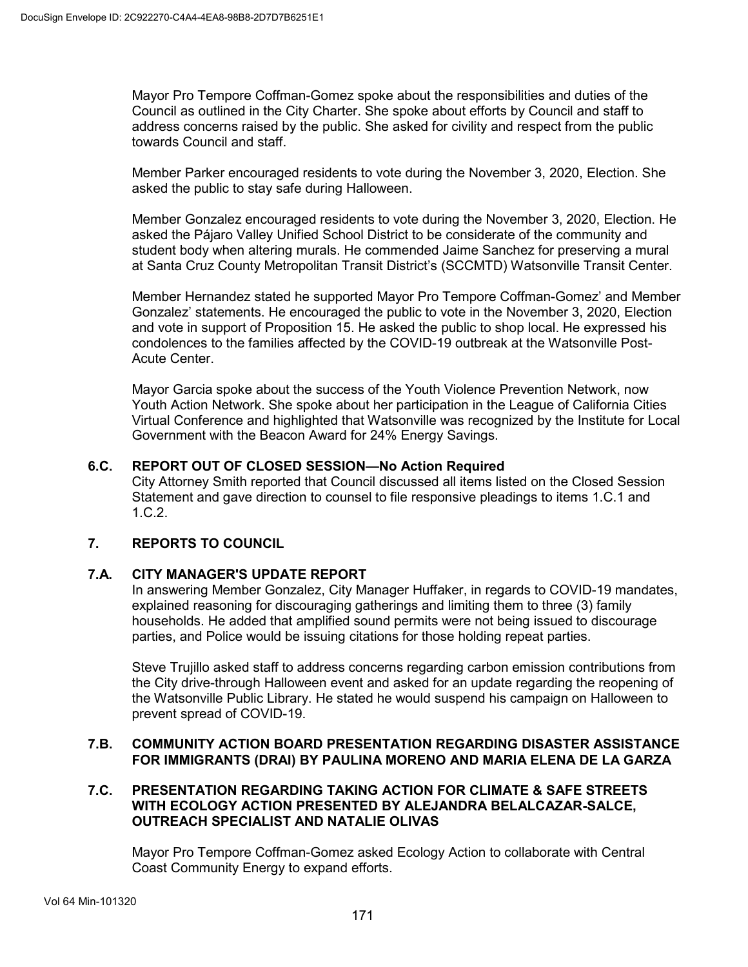Mayor Pro Tempore Coffman-Gomez spoke about the responsibilities and duties of the Council as outlined in the City Charter. She spoke about efforts by Council and staff to address concerns raised by the public. She asked for civility and respect from the public towards Council and staff.

Member Parker encouraged residents to vote during the November 3, 2020, Election. She asked the public to stay safe during Halloween.

Member Gonzalez encouraged residents to vote during the November 3, 2020, Election. He asked the Pájaro Valley Unified School District to be considerate of the community and student body when altering murals. He commended Jaime Sanchez for preserving a mural at Santa Cruz County Metropolitan Transit District's (SCCMTD) Watsonville Transit Center.

Member Hernandez stated he supported Mayor Pro Tempore Coffman-Gomez' and Member Gonzalez' statements. He encouraged the public to vote in the November 3, 2020, Election and vote in support of Proposition 15. He asked the public to shop local. He expressed his condolences to the families affected by the COVID-19 outbreak at the Watsonville Post-Acute Center.

Mayor Garcia spoke about the success of the Youth Violence Prevention Network, now Youth Action Network. She spoke about her participation in the League of California Cities Virtual Conference and highlighted that Watsonville was recognized by the Institute for Local Government with the Beacon Award for 24% Energy Savings.

# **6.C. REPORT OUT OF CLOSED SESSION—No Action Required**

City Attorney Smith reported that Council discussed all items listed on the Closed Session Statement and gave direction to counsel to file responsive pleadings to items 1.C.1 and 1.C.2.

# **7. REPORTS TO COUNCIL**

#### **7.A. CITY MANAGER'S UPDATE REPORT**

In answering Member Gonzalez, City Manager Huffaker, in regards to COVID-19 mandates, explained reasoning for discouraging gatherings and limiting them to three (3) family households. He added that amplified sound permits were not being issued to discourage parties, and Police would be issuing citations for those holding repeat parties.

Steve Trujillo asked staff to address concerns regarding carbon emission contributions from the City drive-through Halloween event and asked for an update regarding the reopening of the Watsonville Public Library. He stated he would suspend his campaign on Halloween to prevent spread of COVID-19.

#### **7.B. COMMUNITY ACTION BOARD PRESENTATION REGARDING DISASTER ASSISTANCE FOR IMMIGRANTS (DRAI) BY PAULINA MORENO AND MARIA ELENA DE LA GARZA**

#### **7.C. PRESENTATION REGARDING TAKING ACTION FOR CLIMATE & SAFE STREETS WITH ECOLOGY ACTION PRESENTED BY ALEJANDRA BELALCAZAR-SALCE, OUTREACH SPECIALIST AND NATALIE OLIVAS**

Mayor Pro Tempore Coffman-Gomez asked Ecology Action to collaborate with Central Coast Community Energy to expand efforts.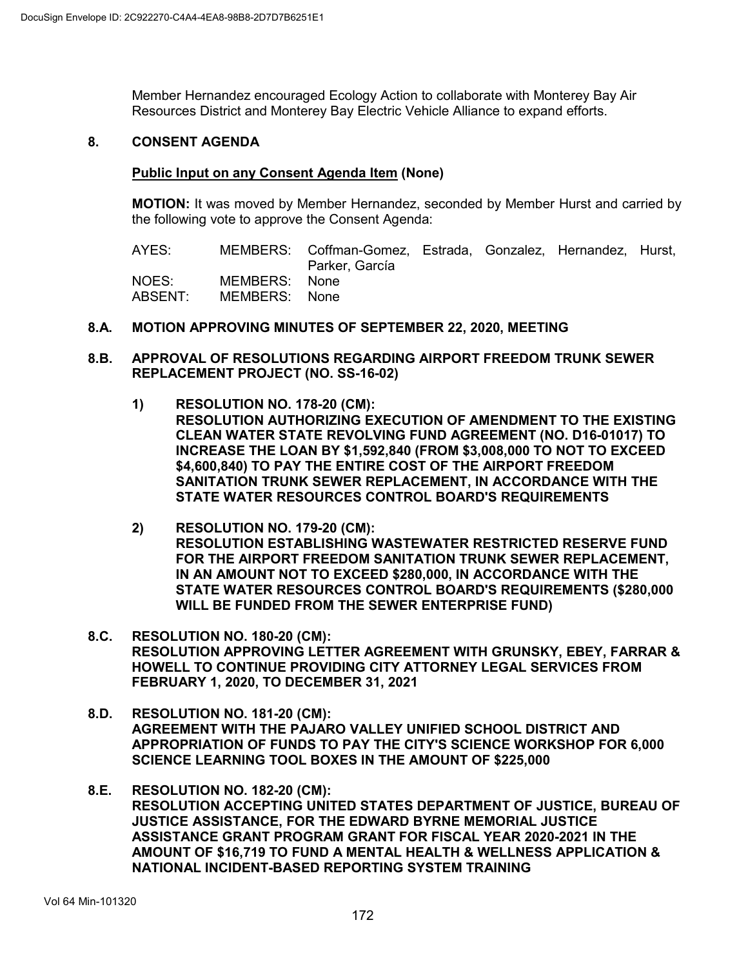Member Hernandez encouraged Ecology Action to collaborate with Monterey Bay Air Resources District and Monterey Bay Electric Vehicle Alliance to expand efforts.

#### **8. CONSENT AGENDA**

#### **Public Input on any Consent Agenda Item (None)**

**MOTION:** It was moved by Member Hernandez, seconded by Member Hurst and carried by the following vote to approve the Consent Agenda:

AYES: MEMBERS: Coffman-Gomez, Estrada, Gonzalez, Hernandez, Hurst, Parker, García NOES: MEMBERS: None<br>ABSENT: MEMBERS: None MEMBERS: None

#### **8.A. MOTION APPROVING MINUTES OF SEPTEMBER 22, 2020, MEETING**

- **8.B. APPROVAL OF RESOLUTIONS REGARDING AIRPORT FREEDOM TRUNK SEWER REPLACEMENT PROJECT (NO. SS-16-02)**
	- **1) RESOLUTION NO. 178-20 (CM): RESOLUTION AUTHORIZING EXECUTION OF AMENDMENT TO THE EXISTING CLEAN WATER STATE REVOLVING FUND AGREEMENT (NO. D16-01017) TO INCREASE THE LOAN BY \$1,592,840 (FROM \$3,008,000 TO NOT TO EXCEED \$4,600,840) TO PAY THE ENTIRE COST OF THE AIRPORT FREEDOM SANITATION TRUNK SEWER REPLACEMENT, IN ACCORDANCE WITH THE STATE WATER RESOURCES CONTROL BOARD'S REQUIREMENTS**
	- **2) RESOLUTION NO. 179-20 (CM): RESOLUTION ESTABLISHING WASTEWATER RESTRICTED RESERVE FUND FOR THE AIRPORT FREEDOM SANITATION TRUNK SEWER REPLACEMENT, IN AN AMOUNT NOT TO EXCEED \$280,000, IN ACCORDANCE WITH THE STATE WATER RESOURCES CONTROL BOARD'S REQUIREMENTS (\$280,000 WILL BE FUNDED FROM THE SEWER ENTERPRISE FUND)**
- **8.C. RESOLUTION NO. 180-20 (CM): RESOLUTION APPROVING LETTER AGREEMENT WITH GRUNSKY, EBEY, FARRAR & HOWELL TO CONTINUE PROVIDING CITY ATTORNEY LEGAL SERVICES FROM FEBRUARY 1, 2020, TO DECEMBER 31, 2021**
- **8.D. RESOLUTION NO. 181-20 (CM): AGREEMENT WITH THE PAJARO VALLEY UNIFIED SCHOOL DISTRICT AND APPROPRIATION OF FUNDS TO PAY THE CITY'S SCIENCE WORKSHOP FOR 6,000 SCIENCE LEARNING TOOL BOXES IN THE AMOUNT OF \$225,000**
- **8.E. RESOLUTION NO. 182-20 (CM): RESOLUTION ACCEPTING UNITED STATES DEPARTMENT OF JUSTICE, BUREAU OF JUSTICE ASSISTANCE, FOR THE EDWARD BYRNE MEMORIAL JUSTICE ASSISTANCE GRANT PROGRAM GRANT FOR FISCAL YEAR 2020-2021 IN THE AMOUNT OF \$16,719 TO FUND A MENTAL HEALTH & WELLNESS APPLICATION & NATIONAL INCIDENT-BASED REPORTING SYSTEM TRAINING**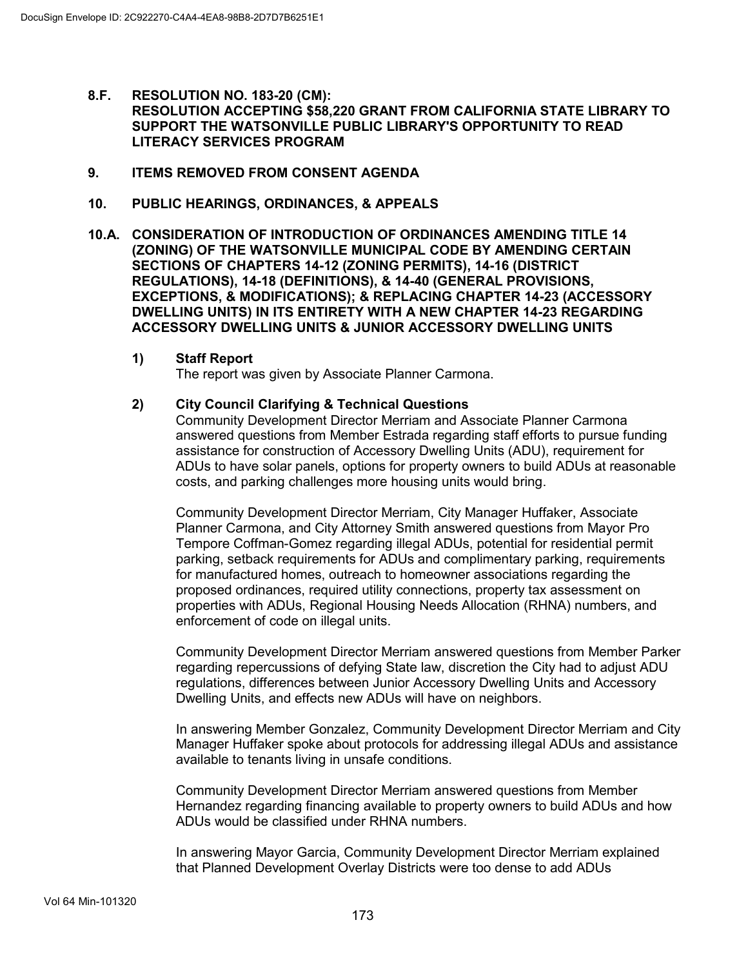- **8.F. RESOLUTION NO. 183-20 (CM): RESOLUTION ACCEPTING \$58,220 GRANT FROM CALIFORNIA STATE LIBRARY TO SUPPORT THE WATSONVILLE PUBLIC LIBRARY'S OPPORTUNITY TO READ LITERACY SERVICES PROGRAM**
- **9. ITEMS REMOVED FROM CONSENT AGENDA**
- **10. PUBLIC HEARINGS, ORDINANCES, & APPEALS**
- **10.A. CONSIDERATION OF INTRODUCTION OF ORDINANCES AMENDING TITLE 14 (ZONING) OF THE WATSONVILLE MUNICIPAL CODE BY AMENDING CERTAIN SECTIONS OF CHAPTERS 14-12 (ZONING PERMITS), 14-16 (DISTRICT REGULATIONS), 14-18 (DEFINITIONS), & 14-40 (GENERAL PROVISIONS, EXCEPTIONS, & MODIFICATIONS); & REPLACING CHAPTER 14-23 (ACCESSORY DWELLING UNITS) IN ITS ENTIRETY WITH A NEW CHAPTER 14-23 REGARDING ACCESSORY DWELLING UNITS & JUNIOR ACCESSORY DWELLING UNITS**
	- **1) Staff Report**

The report was given by Associate Planner Carmona.

#### **2) City Council Clarifying & Technical Questions**

Community Development Director Merriam and Associate Planner Carmona answered questions from Member Estrada regarding staff efforts to pursue funding assistance for construction of Accessory Dwelling Units (ADU), requirement for ADUs to have solar panels, options for property owners to build ADUs at reasonable costs, and parking challenges more housing units would bring.

Community Development Director Merriam, City Manager Huffaker, Associate Planner Carmona, and City Attorney Smith answered questions from Mayor Pro Tempore Coffman-Gomez regarding illegal ADUs, potential for residential permit parking, setback requirements for ADUs and complimentary parking, requirements for manufactured homes, outreach to homeowner associations regarding the proposed ordinances, required utility connections, property tax assessment on properties with ADUs, Regional Housing Needs Allocation (RHNA) numbers, and enforcement of code on illegal units.

Community Development Director Merriam answered questions from Member Parker regarding repercussions of defying State law, discretion the City had to adjust ADU regulations, differences between Junior Accessory Dwelling Units and Accessory Dwelling Units, and effects new ADUs will have on neighbors.

In answering Member Gonzalez, Community Development Director Merriam and City Manager Huffaker spoke about protocols for addressing illegal ADUs and assistance available to tenants living in unsafe conditions.

Community Development Director Merriam answered questions from Member Hernandez regarding financing available to property owners to build ADUs and how ADUs would be classified under RHNA numbers.

In answering Mayor Garcia, Community Development Director Merriam explained that Planned Development Overlay Districts were too dense to add ADUs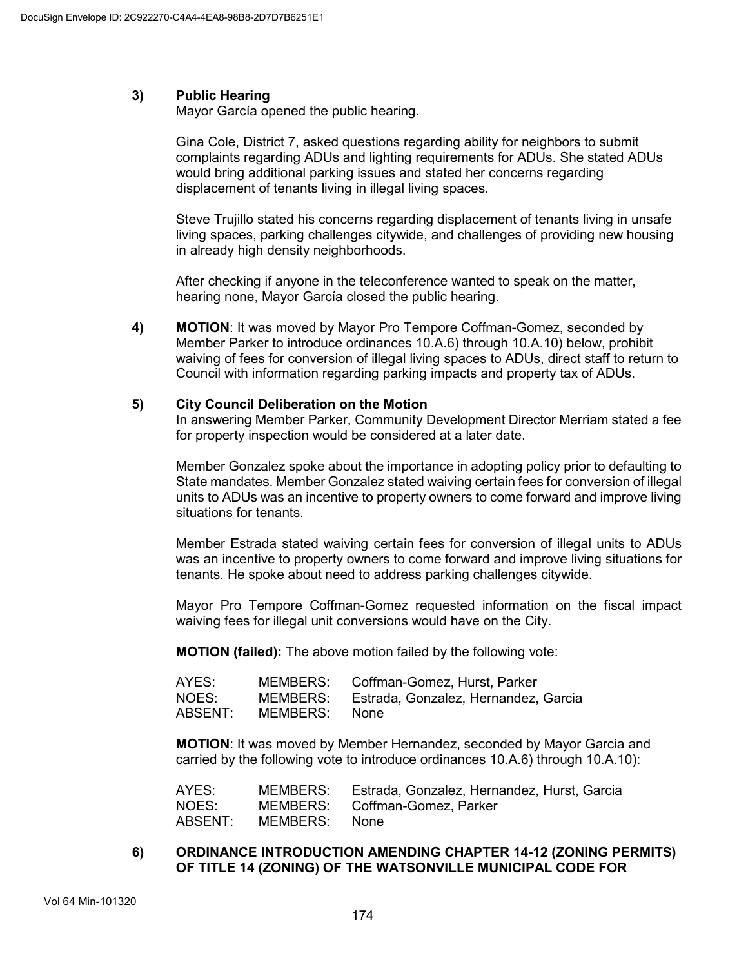# **3) Public Hearing**

Mayor García opened the public hearing.

Gina Cole, District 7, asked questions regarding ability for neighbors to submit complaints regarding ADUs and lighting requirements for ADUs. She stated ADUs would bring additional parking issues and stated her concerns regarding displacement of tenants living in illegal living spaces.

Steve Trujillo stated his concerns regarding displacement of tenants living in unsafe living spaces, parking challenges citywide, and challenges of providing new housing in already high density neighborhoods.

After checking if anyone in the teleconference wanted to speak on the matter, hearing none, Mayor García closed the public hearing.

**4) MOTION**: It was moved by Mayor Pro Tempore Coffman-Gomez, seconded by Member Parker to introduce ordinances 10.A.6) through 10.A.10) below, prohibit waiving of fees for conversion of illegal living spaces to ADUs, direct staff to return to Council with information regarding parking impacts and property tax of ADUs.

#### **5) City Council Deliberation on the Motion**

In answering Member Parker, Community Development Director Merriam stated a fee for property inspection would be considered at a later date.

Member Gonzalez spoke about the importance in adopting policy prior to defaulting to State mandates. Member Gonzalez stated waiving certain fees for conversion of illegal units to ADUs was an incentive to property owners to come forward and improve living situations for tenants.

Member Estrada stated waiving certain fees for conversion of illegal units to ADUs was an incentive to property owners to come forward and improve living situations for tenants. He spoke about need to address parking challenges citywide.

Mayor Pro Tempore Coffman-Gomez requested information on the fiscal impact waiving fees for illegal unit conversions would have on the City.

**MOTION (failed):** The above motion failed by the following vote:

| AYES:   |          | MEMBERS: Coffman-Gomez, Hurst, Parker         |
|---------|----------|-----------------------------------------------|
| NOES:   |          | MEMBERS: Estrada, Gonzalez, Hernandez, Garcia |
| ABSENT: | MEMBERS: | None                                          |

**MOTION**: It was moved by Member Hernandez, seconded by Mayor Garcia and carried by the following vote to introduce ordinances 10.A.6) through 10.A.10):

| AYES:   | MEMBERS:      | Estrada, Gonzalez, Hernandez, Hurst, Garcia |
|---------|---------------|---------------------------------------------|
| NOES:   |               | MEMBERS: Coffman-Gomez, Parker              |
| ABSENT: | MEMBERS: None |                                             |

#### **6) ORDINANCE INTRODUCTION AMENDING CHAPTER 14-12 (ZONING PERMITS) OF TITLE 14 (ZONING) OF THE WATSONVILLE MUNICIPAL CODE FOR**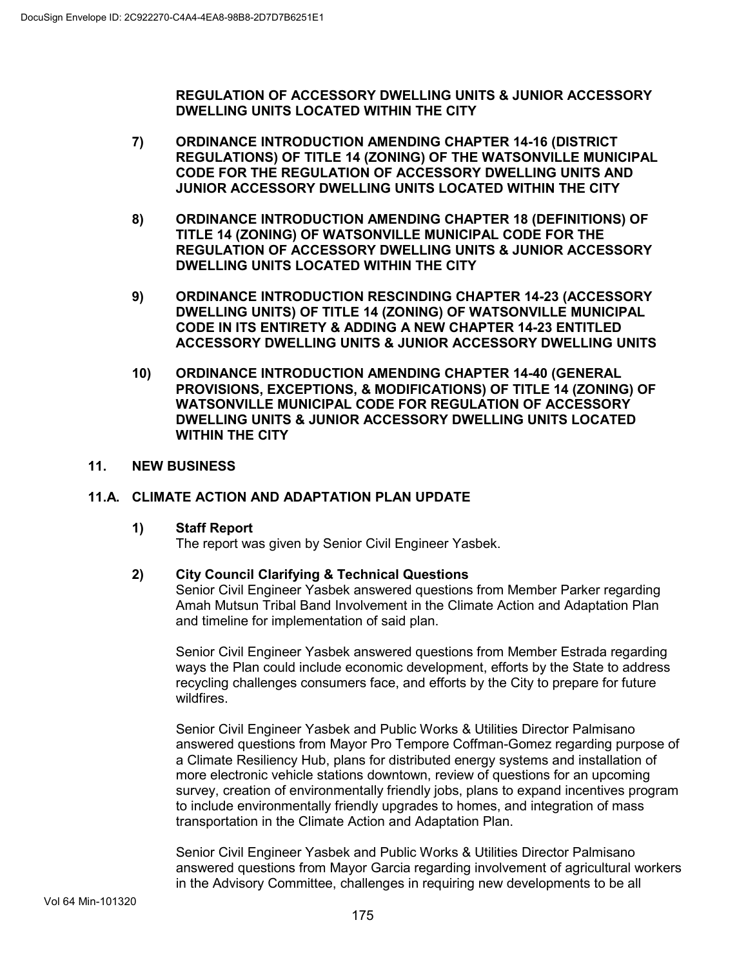**REGULATION OF ACCESSORY DWELLING UNITS & JUNIOR ACCESSORY DWELLING UNITS LOCATED WITHIN THE CITY**

- **7) ORDINANCE INTRODUCTION AMENDING CHAPTER 14-16 (DISTRICT REGULATIONS) OF TITLE 14 (ZONING) OF THE WATSONVILLE MUNICIPAL CODE FOR THE REGULATION OF ACCESSORY DWELLING UNITS AND JUNIOR ACCESSORY DWELLING UNITS LOCATED WITHIN THE CITY**
- **8) ORDINANCE INTRODUCTION AMENDING CHAPTER 18 (DEFINITIONS) OF TITLE 14 (ZONING) OF WATSONVILLE MUNICIPAL CODE FOR THE REGULATION OF ACCESSORY DWELLING UNITS & JUNIOR ACCESSORY DWELLING UNITS LOCATED WITHIN THE CITY**
- **9) ORDINANCE INTRODUCTION RESCINDING CHAPTER 14-23 (ACCESSORY DWELLING UNITS) OF TITLE 14 (ZONING) OF WATSONVILLE MUNICIPAL CODE IN ITS ENTIRETY & ADDING A NEW CHAPTER 14-23 ENTITLED ACCESSORY DWELLING UNITS & JUNIOR ACCESSORY DWELLING UNITS**
- **10) ORDINANCE INTRODUCTION AMENDING CHAPTER 14-40 (GENERAL PROVISIONS, EXCEPTIONS, & MODIFICATIONS) OF TITLE 14 (ZONING) OF WATSONVILLE MUNICIPAL CODE FOR REGULATION OF ACCESSORY DWELLING UNITS & JUNIOR ACCESSORY DWELLING UNITS LOCATED WITHIN THE CITY**

# **11. NEW BUSINESS**

# **11.A. CLIMATE ACTION AND ADAPTATION PLAN UPDATE**

# **1) Staff Report**

The report was given by Senior Civil Engineer Yasbek.

# **2) City Council Clarifying & Technical Questions**

Senior Civil Engineer Yasbek answered questions from Member Parker regarding Amah Mutsun Tribal Band Involvement in the Climate Action and Adaptation Plan and timeline for implementation of said plan.

Senior Civil Engineer Yasbek answered questions from Member Estrada regarding ways the Plan could include economic development, efforts by the State to address recycling challenges consumers face, and efforts by the City to prepare for future wildfires.

Senior Civil Engineer Yasbek and Public Works & Utilities Director Palmisano answered questions from Mayor Pro Tempore Coffman-Gomez regarding purpose of a Climate Resiliency Hub, plans for distributed energy systems and installation of more electronic vehicle stations downtown, review of questions for an upcoming survey, creation of environmentally friendly jobs, plans to expand incentives program to include environmentally friendly upgrades to homes, and integration of mass transportation in the Climate Action and Adaptation Plan.

Senior Civil Engineer Yasbek and Public Works & Utilities Director Palmisano answered questions from Mayor Garcia regarding involvement of agricultural workers in the Advisory Committee, challenges in requiring new developments to be all